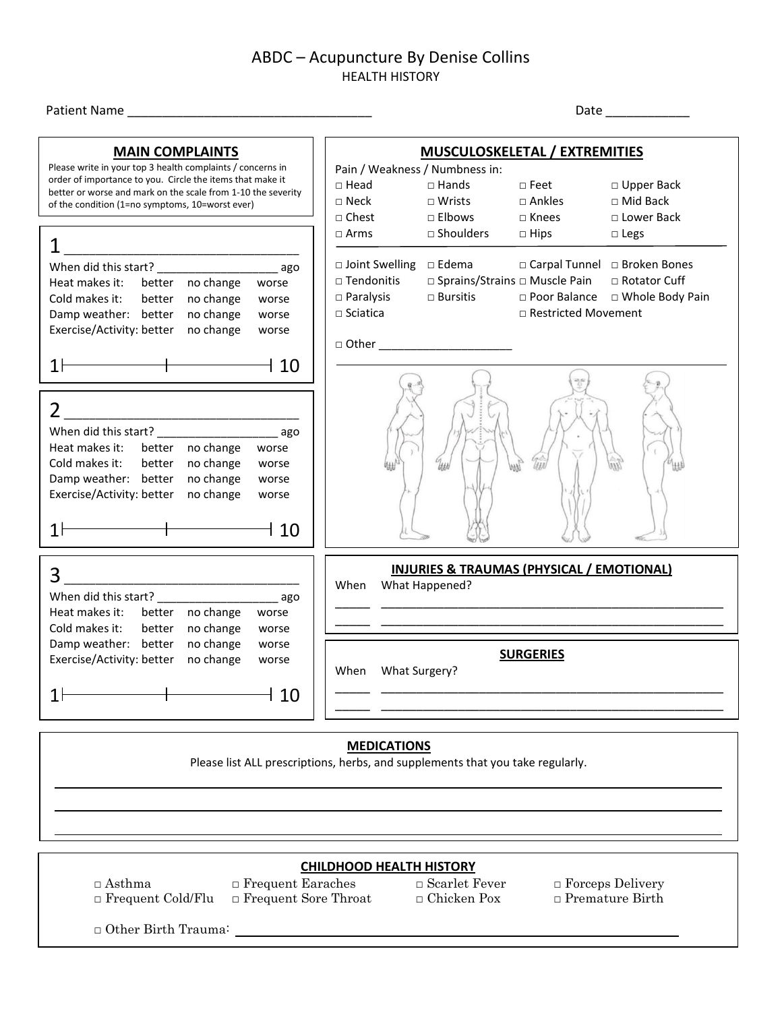# Patient Name \_\_\_\_\_\_\_\_\_\_\_\_\_\_\_\_\_\_\_\_\_\_\_\_\_\_\_\_\_\_\_\_\_\_\_ Date \_\_\_\_\_\_\_\_\_\_\_\_ **MUSCULOSKELETAL / EXTREMITIES** Pain / Weakness / Numbness in: □ Head □ Hands □ Feet □ Upper Back □ Neck □ Wrists □ Ankles □ Mid Back □ Chest □ Elbows □ Knees □ Lower Back □ Arms □ Shoulders □ Hips □ Legs □ Joint Swelling □ Edema □ Carpal Tunnel □ Broken Bones □ Tendonitis □ Sprains/Strains □ Muscle Pain □ Rotator Cuff □ Paralysis □ Bursitis □ Poor Balance □ Whole Body Pain □ Sciatica □ □ Restricted Movement  $\Box$  Other  $\_\_$

| When did this start?      |        |           | ago   |
|---------------------------|--------|-----------|-------|
| Heat makes it:            | better | no change | worse |
| Cold makes it:            | better | no change | worse |
| Damp weather:             | better | no change | worse |
| Exercise/Activity: better |        | no change | worse |
|                           |        |           |       |
|                           |        |           |       |
|                           |        |           |       |

**MAIN COMPLAINTS** Please write in your top 3 health complaints / concerns in order of importance to you. Circle the items that make it better or worse and mark on the scale from 1-10 the severity

 $1$   $\overline{\phantom{a}1}$ When did this start? \_\_\_\_\_\_\_\_\_\_\_\_\_\_\_\_\_\_\_ ago Heat makes it: better no change worse Cold makes it: better no change worse Damp weather: better no change worse Exercise/Activity: better no change worse

 $1 \rightarrow 10$ 

of the condition (1=no symptoms, 10=worst ever)

| When did this start?      |        |           | ago   |
|---------------------------|--------|-----------|-------|
| Heat makes it:            | better | no change | worse |
| Cold makes it:            | better | no change | worse |
| Damp weather:             | better | no change | worse |
| Exercise/Activity: better |        | no change | worse |
|                           |        |           |       |
|                           |        |           |       |

| When | What Happened? | <b>INJURIES &amp; TRAUMAS (PHYSICAL / EMOTIONAL)</b> |  |
|------|----------------|------------------------------------------------------|--|
| When | What Surgery?  | <b>SURGERIES</b>                                     |  |
|      |                |                                                      |  |

#### **MEDICATIONS**

Please list ALL prescriptions, herbs, and supplements that you take regularly.

**CHILDHOOD HEALTH HISTORY**

□ Asthma □ Frequent Earaches □ Scarlet Fever □ Forceps Delivery □ Frequent Cold/Flu □ Frequent Sore Throat □ Chicken Pox □ Premature Birth

 $\Box$   $\Box$   $\Box$   $\Box$   $\Box$   $\Box$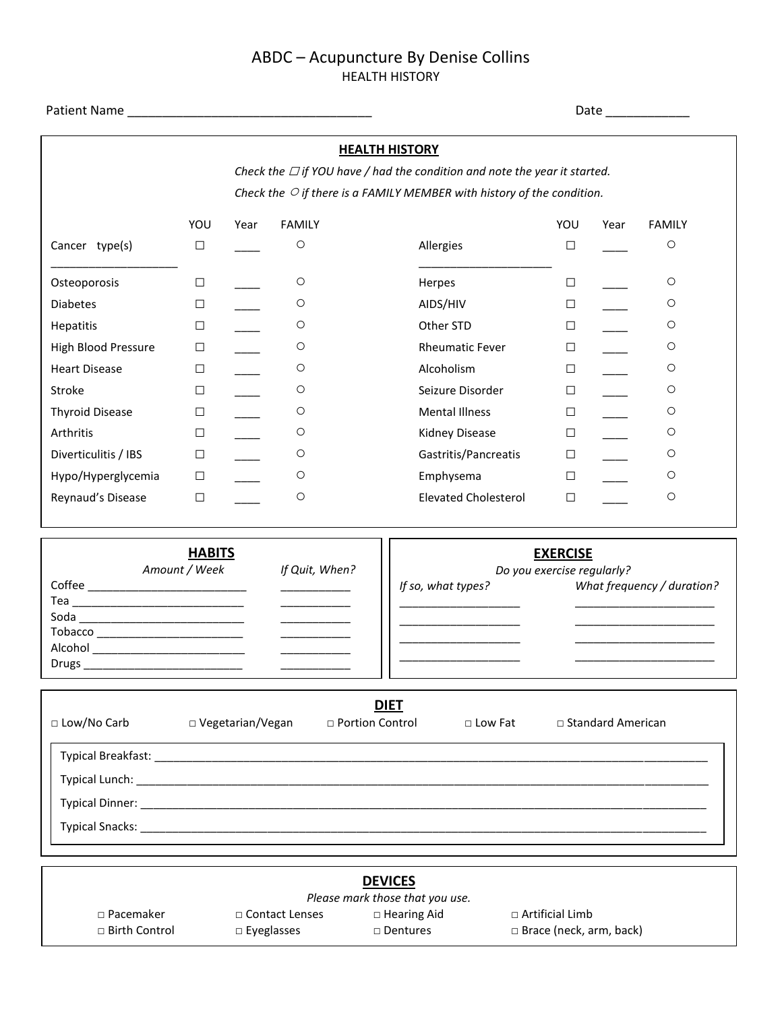|                                                                              | Date ____________              |      |                                                                     |                                                                                 |                                               |      |                            |
|------------------------------------------------------------------------------|--------------------------------|------|---------------------------------------------------------------------|---------------------------------------------------------------------------------|-----------------------------------------------|------|----------------------------|
|                                                                              |                                |      |                                                                     | <b>HEALTH HISTORY</b>                                                           |                                               |      |                            |
|                                                                              |                                |      |                                                                     | Check the $\Box$ if YOU have / had the condition and note the year it started.  |                                               |      |                            |
|                                                                              |                                |      |                                                                     | Check the $\bigcirc$ if there is a FAMILY MEMBER with history of the condition. |                                               |      |                            |
|                                                                              | YOU                            | Year | <b>FAMILY</b>                                                       |                                                                                 | YOU                                           | Year | <b>FAMILY</b>              |
| Cancer type(s)                                                               | $\Box$                         |      | $\circ$                                                             | Allergies                                                                       | $\Box$                                        |      | $\bigcirc$                 |
| Osteoporosis                                                                 | $\Box$                         |      | $\circ$                                                             | Herpes                                                                          | $\Box$                                        |      | O                          |
| <b>Diabetes</b>                                                              | $\Box$                         |      | $\circ$                                                             | AIDS/HIV                                                                        | $\Box$                                        |      | $\circ$                    |
| Hepatitis                                                                    | $\Box$                         |      | $\circ$                                                             | Other STD                                                                       | $\Box$                                        |      | О                          |
| High Blood Pressure                                                          | $\Box$                         |      | $\circ$                                                             | <b>Rheumatic Fever</b>                                                          | $\Box$                                        |      | О                          |
| <b>Heart Disease</b>                                                         | $\Box$                         |      | $\circ$                                                             | Alcoholism                                                                      | $\Box$                                        |      | O                          |
| Stroke                                                                       | $\Box$                         |      | $\circ$                                                             | Seizure Disorder                                                                | $\Box$                                        |      | O                          |
| <b>Thyroid Disease</b>                                                       | $\Box$                         |      | $\circ$                                                             | <b>Mental Illness</b>                                                           | $\Box$                                        |      | O                          |
| Arthritis                                                                    | $\Box$                         |      | O                                                                   | Kidney Disease                                                                  | $\Box$                                        |      | О                          |
| Diverticulitis / IBS                                                         | $\Box$                         |      | $\circ$                                                             | Gastritis/Pancreatis                                                            | $\Box$                                        |      | О                          |
| Hypo/Hyperglycemia                                                           | $\Box$                         |      | O                                                                   | Emphysema                                                                       | $\Box$                                        |      | O                          |
| Reynaud's Disease                                                            | $\Box$                         |      | $\circ$                                                             | <b>Elevated Cholesterol</b>                                                     | $\Box$                                        |      | O                          |
|                                                                              | <b>HABITS</b><br>Amount / Week |      | If Quit, When?                                                      |                                                                                 | <b>EXERCISE</b><br>Do you exercise regularly? |      |                            |
|                                                                              |                                |      | $\overline{\phantom{a}}$ . The contract of $\overline{\phantom{a}}$ | If so, what types?                                                              |                                               |      | What frequency / duration? |
|                                                                              |                                |      | <u>and the state</u>                                                |                                                                                 |                                               |      |                            |
| Soda _________________________________                                       |                                |      |                                                                     |                                                                                 |                                               |      |                            |
| Tobacco _________________________<br>Alcohol _______________________________ |                                |      |                                                                     |                                                                                 |                                               |      |                            |
| Drugs ______________________________                                         |                                |      |                                                                     |                                                                                 |                                               |      |                            |

| □ Low/No Carb                                                                                 | □ Vegetarian/Vegan | <b>DIET</b><br>$\Box$ Portion Control | $\Box$ Low Fat | $\Box$ Standard American |
|-----------------------------------------------------------------------------------------------|--------------------|---------------------------------------|----------------|--------------------------|
| Typical Breakfast: _____________<br>Typical Lunch: ___________<br>Typical Dinner: ___________ |                    |                                       |                |                          |
|                                                                                               |                    |                                       |                |                          |

|                      |                   | <b>DEVICES</b><br>Please mark those that you use. |                           |
|----------------------|-------------------|---------------------------------------------------|---------------------------|
| $\Box$ Pacemaker     | □ Contact Lenses  | $\Box$ Hearing Aid                                | $\Box$ Artificial Limb    |
| $\Box$ Birth Control | $\Box$ Eyeglasses | □ Dentures                                        | □ Brace (neck, arm, back) |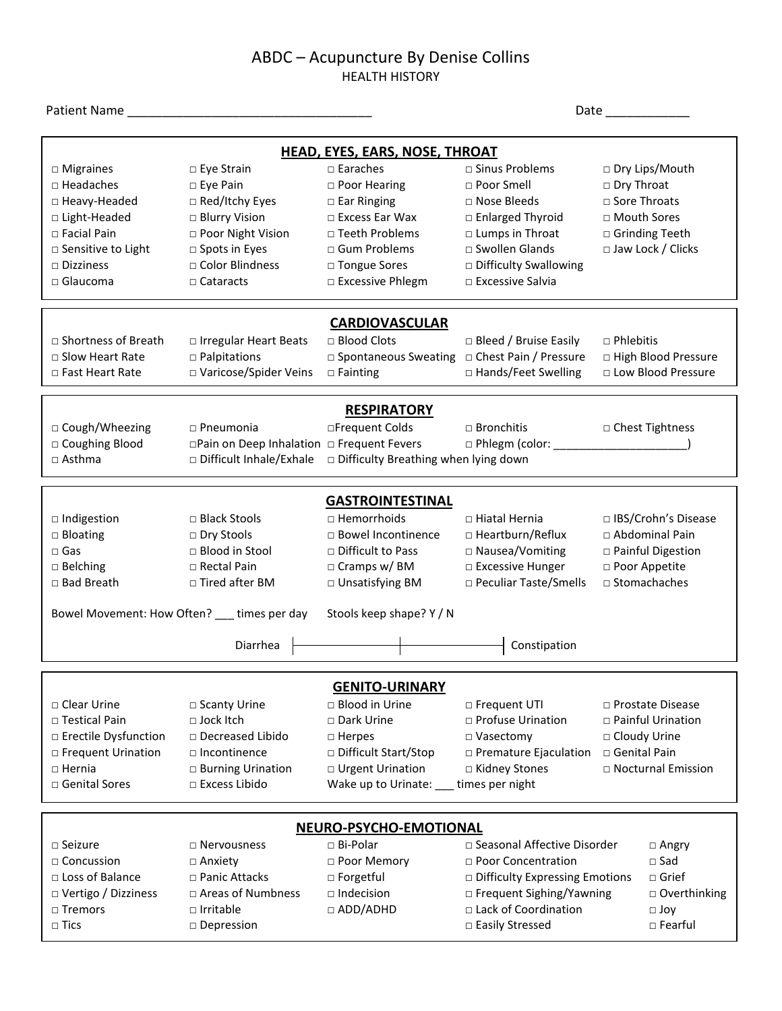| Patient Name                                                                                                                                                  |                                                                                                                                                                   |                                                                                                                                                                             |                                                                                                                                                                             |                                                                                                                |  |  |  |
|---------------------------------------------------------------------------------------------------------------------------------------------------------------|-------------------------------------------------------------------------------------------------------------------------------------------------------------------|-----------------------------------------------------------------------------------------------------------------------------------------------------------------------------|-----------------------------------------------------------------------------------------------------------------------------------------------------------------------------|----------------------------------------------------------------------------------------------------------------|--|--|--|
| <b>HEAD, EYES, EARS, NOSE, THROAT</b>                                                                                                                         |                                                                                                                                                                   |                                                                                                                                                                             |                                                                                                                                                                             |                                                                                                                |  |  |  |
| $\Box$ Migraines<br>$\Box$ Headaches<br>□ Heavy-Headed<br>□ Light-Headed<br>$\Box$ Facial Pain<br>□ Sensitive to Light<br>$\Box$ Dizziness<br>$\Box$ Glaucoma | $\Box$ Eye Strain<br>$\square$ Eye Pain<br>□ Red/Itchy Eyes<br>□ Blurry Vision<br>□ Poor Night Vision<br>□ Spots in Eyes<br>□ Color Blindness<br>$\Box$ Cataracts | $\square$ Earaches<br>$\Box$ Poor Hearing<br>$\Box$ Ear Ringing<br>$\Box$ Excess Ear Wax<br>$\Box$ Teeth Problems<br>□ Gum Problems<br>□ Tongue Sores<br>□ Excessive Phlegm | □ Sinus Problems<br>$\Box$ Poor Smell<br>□ Nose Bleeds<br>□ Enlarged Thyroid<br>□ Lumps in Throat<br>□ Swollen Glands<br>□ Difficulty Swallowing<br>$\Box$ Excessive Salvia | □ Dry Lips/Mouth<br>□ Dry Throat<br>□ Sore Throats<br>□ Mouth Sores<br>□ Grinding Teeth<br>□ Jaw Lock / Clicks |  |  |  |
| $\Box$ Shortness of Breath<br>$\Box$ Slow Heart Rate<br>$\Box$ Fast Heart Rate                                                                                | □ Irregular Heart Beats<br>$\square$ Palpitations<br>□ Varicose/Spider Veins                                                                                      | <b>CARDIOVASCULAR</b><br>□ Blood Clots<br>□ Spontaneous Sweating □ Chest Pain / Pressure<br>$\square$ Fainting                                                              | $\Box$ Bleed / Bruise Easily<br>□ Hands/Feet Swelling                                                                                                                       | $\Box$ Phlebitis<br>□ High Blood Pressure<br>□ Low Blood Pressure                                              |  |  |  |
| □ Cough/Wheezing<br>□ Coughing Blood<br>□ Asthma                                                                                                              | $\Box$ Pneumonia<br>□Pain on Deep Inhalation □ Frequent Fevers<br>□ Difficult Inhale/Exhale                                                                       | <b>RESPIRATORY</b><br>□Frequent Colds<br>□ Difficulty Breathing when lying down                                                                                             | □ Bronchitis<br>$\Box$ Phlegm (color:                                                                                                                                       | □ Chest Tightness                                                                                              |  |  |  |
| $\Box$ Indigestion<br>$\Box$ Bloating<br>$\square$ Gas<br>$\square$ Belching<br>□ Bad Breath                                                                  | □ Black Stools<br>□ Dry Stools<br>□ Blood in Stool<br>□ Rectal Pain<br>$\Box$ Tired after BM<br>Bowel Movement: How Often? ___ times per day                      | <b>GASTROINTESTINAL</b><br>□ Hemorrhoids<br>□ Bowel Incontinence<br>□ Difficult to Pass<br>$\Box$ Cramps w/ BM<br>□ Unsatisfying BM<br>Stools keep shape? Y / N             | □ Hiatal Hernia<br>□ Heartburn/Reflux<br>□ Nausea/Vomiting<br>□ Excessive Hunger<br>□ Peculiar Taste/Smells                                                                 | □ IBS/Crohn's Disease<br>□ Abdominal Pain<br>□ Painful Digestion<br>□ Poor Appetite<br>$\Box$ Stomachaches     |  |  |  |
|                                                                                                                                                               | Diarrhea                                                                                                                                                          |                                                                                                                                                                             | Constipation                                                                                                                                                                |                                                                                                                |  |  |  |
| $\Box$ Clear Urine<br>$\Box$ Testical Pain<br>□ Erectile Dysfunction<br>□ Frequent Urination<br>$\Box$ Hernia<br>□ Genital Sores                              | □ Scanty Urine<br>$\sqcap$ Jock Itch<br>□ Decreased Libido<br>$\Box$ Incontinence<br>□ Burning Urination<br>$\Box$ Excess Libido                                  | <b>GENITO-URINARY</b><br>$\Box$ Blood in Urine<br>$\Box$ Dark Urine<br>$\Box$ Herpes<br>□ Difficult Start/Stop<br>□ Urgent Urination<br>Wake up to Urinate:                 | □ Frequent UTI<br>□ Profuse Urination<br>□ Vasectomy<br>□ Premature Ejaculation<br>□ Kidney Stones<br>times per night                                                       | □ Prostate Disease<br>□ Painful Urination<br>□ Cloudy Urine<br>$\Box$ Genital Pain<br>□ Nocturnal Emission     |  |  |  |
|                                                                                                                                                               |                                                                                                                                                                   | <b>NEURO-PSYCHO-EMOTIONAL</b>                                                                                                                                               |                                                                                                                                                                             |                                                                                                                |  |  |  |
| $\Box$ Seizure<br>$\Box$ Concussion<br>□ Loss of Balance<br>□ Vertigo / Dizziness<br>$\Box$ Tremors<br>$\Box$ Tics                                            | $\Box$ Nervousness<br>$\Box$ Anxiety<br>□ Panic Attacks<br>$\Box$ Areas of Numbness<br>$\Box$ Irritable<br>□ Depression                                           | $\Box$ Bi-Polar<br>□ Poor Memory<br>□ Forgetful<br>$\Box$ Indecision<br>$\Box$ ADD/ADHD                                                                                     | □ Seasonal Affective Disorder<br>□ Poor Concentration<br>□ Difficulty Expressing Emotions<br>□ Frequent Sighing/Yawning<br>□ Lack of Coordination<br>□ Easily Stressed      | $\Box$ Angry<br>$\square$ Sad<br>$\Box$ Grief<br>□ Overthinking<br>$\Box$ Joy<br>□ Fearful                     |  |  |  |